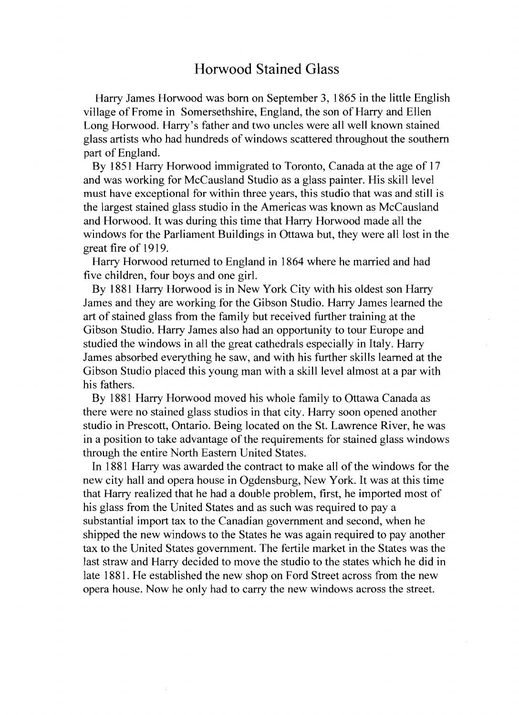## Horwood Stained Glass

Harry James Horwood was born on September **3,** 1865 in the little English village of Frome in Somersethshire, England, the son of Harry and Ellen Long Horwood. Harry's father and two uncles were all well known stained glass artists who had hundreds of windows scattered throughout the southern part of England.

By 1851 Harry Horwood immigrated to Toronto, Canada at the age of 17 and was working for McCausland Studio as a glass painter. His skill level must have exceptional for within three years, this studio that was and still is the largest stained glass studio in the Americas was known as McCausland and Horwood. It was during this time that Harry Horwood made all the windows for the Parliament Buildings in Ottawa but, they were all lost in the great fire of 1919.

Harry Horwood returned to England in 1864 where he married and had five children, four boys and one girl.

By 1881 Harry Horwood is in New York City with his oldest son Harry James and they are working for the Gibson Studio. Harry James learned the art of stained glass from the family but received further training at the Gibson Studio. Harry James also had an opportunity to tour Europe and studied the windows in all the great cathedrals especially in Italy. Harry James absorbed everything he saw, and with his further skills learned at the Gibson Studio placed this young man with a skill level almost at a par with his fathers.

By 1881 Harry Horwood moved his whole family to Ottawa Canada as there were no stained glass studios in that city. Harry soon opened another studio in Prescott, Ontario. Being located on the St. Lawrence River, he was in a position to take advantage of the requirements for stained glass windows through the entire North Eastern United States.

In 1881 Harry was awarded the contract to make all of the windows for the new city hall and opera house in Ogdensburg, New York. It was at this time that Harry realized that he had a double problem, first, he imported most of his glass from the United States and as such was required to pay a substantial import tax to the Canadian government and second, when he shipped the new windows to the States he was again required to pay another tax to the United States government. The fertile market in the States was the last straw and Harry decided to move the studio to the states which he did in late 1881. He established the new shop on Ford Street across from the new opera house. Now he only had to carry the new windows across the street.